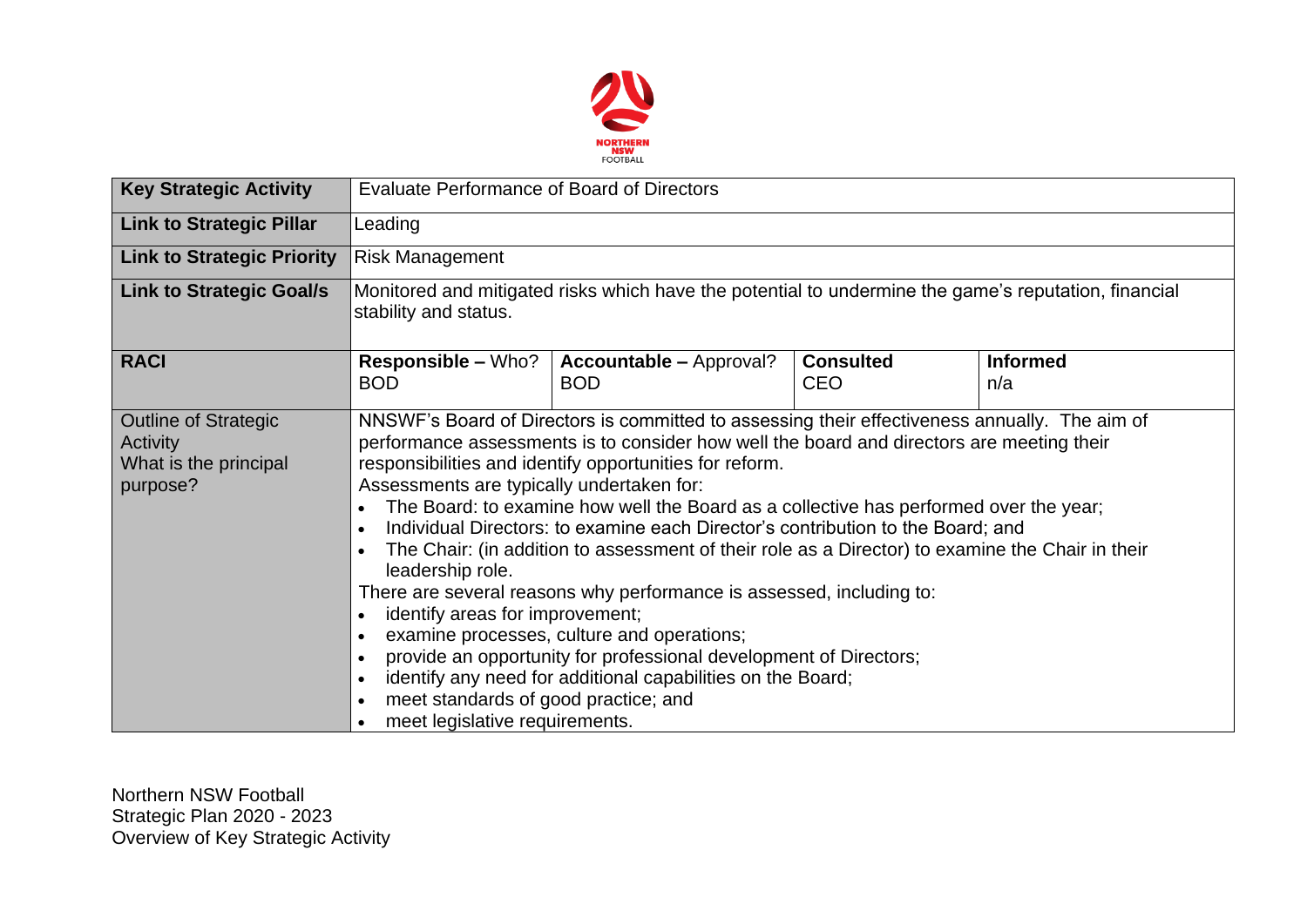

| <b>Key Strategic Activity</b>                                                       | <b>Evaluate Performance of Board of Directors</b>                                                                                                                                                                                                                                                                                                                                                                                                                                                                                                                                                                                                                                                                                                                                                                                                                                                                                                                             |                                              |                                |                        |  |  |  |
|-------------------------------------------------------------------------------------|-------------------------------------------------------------------------------------------------------------------------------------------------------------------------------------------------------------------------------------------------------------------------------------------------------------------------------------------------------------------------------------------------------------------------------------------------------------------------------------------------------------------------------------------------------------------------------------------------------------------------------------------------------------------------------------------------------------------------------------------------------------------------------------------------------------------------------------------------------------------------------------------------------------------------------------------------------------------------------|----------------------------------------------|--------------------------------|------------------------|--|--|--|
| <b>Link to Strategic Pillar</b>                                                     | Leading                                                                                                                                                                                                                                                                                                                                                                                                                                                                                                                                                                                                                                                                                                                                                                                                                                                                                                                                                                       |                                              |                                |                        |  |  |  |
| <b>Link to Strategic Priority</b>                                                   | Risk Management                                                                                                                                                                                                                                                                                                                                                                                                                                                                                                                                                                                                                                                                                                                                                                                                                                                                                                                                                               |                                              |                                |                        |  |  |  |
| <b>Link to Strategic Goal/s</b>                                                     | Monitored and mitigated risks which have the potential to undermine the game's reputation, financial<br>stability and status.                                                                                                                                                                                                                                                                                                                                                                                                                                                                                                                                                                                                                                                                                                                                                                                                                                                 |                                              |                                |                        |  |  |  |
| <b>RACI</b>                                                                         | <b>Responsible – Who?</b><br><b>BOD</b>                                                                                                                                                                                                                                                                                                                                                                                                                                                                                                                                                                                                                                                                                                                                                                                                                                                                                                                                       | <b>Accountable - Approval?</b><br><b>BOD</b> | <b>Consulted</b><br><b>CEO</b> | <b>Informed</b><br>n/a |  |  |  |
| <b>Outline of Strategic</b><br><b>Activity</b><br>What is the principal<br>purpose? | NNSWF's Board of Directors is committed to assessing their effectiveness annually. The aim of<br>performance assessments is to consider how well the board and directors are meeting their<br>responsibilities and identify opportunities for reform.<br>Assessments are typically undertaken for:<br>The Board: to examine how well the Board as a collective has performed over the year;<br>Individual Directors: to examine each Director's contribution to the Board; and<br>The Chair: (in addition to assessment of their role as a Director) to examine the Chair in their<br>leadership role.<br>There are several reasons why performance is assessed, including to:<br>identify areas for improvement;<br>examine processes, culture and operations;<br>provide an opportunity for professional development of Directors;<br>identify any need for additional capabilities on the Board;<br>meet standards of good practice; and<br>meet legislative requirements. |                                              |                                |                        |  |  |  |